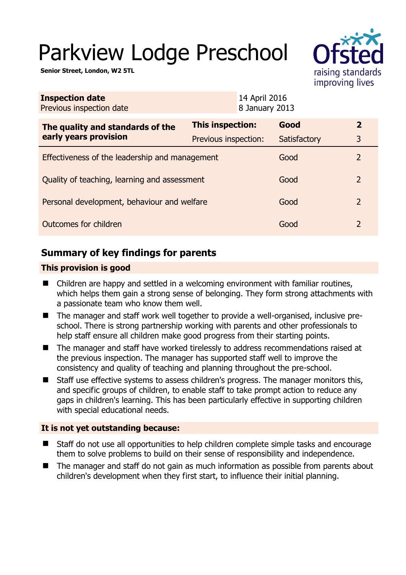# Parkview Lodge Preschool

**Senior Street, London, W2 5TL** 

| $\sim$                               |
|--------------------------------------|
| raising standards<br>improving lives |

| <b>Inspection date</b><br>Previous inspection date        |                      | 14 April 2016<br>8 January 2013 |              |                |
|-----------------------------------------------------------|----------------------|---------------------------------|--------------|----------------|
| The quality and standards of the<br>early years provision | This inspection:     |                                 | Good         | $\mathbf{2}$   |
|                                                           | Previous inspection: |                                 | Satisfactory | 3              |
| Effectiveness of the leadership and management            |                      |                                 | Good         | 2              |
| Quality of teaching, learning and assessment              |                      |                                 | Good         | $\overline{2}$ |
| Personal development, behaviour and welfare               |                      |                                 | Good         | 2              |
| Outcomes for children                                     |                      |                                 | Good         | 2              |

# **Summary of key findings for parents**

### **This provision is good**

- Children are happy and settled in a welcoming environment with familiar routines, which helps them gain a strong sense of belonging. They form strong attachments with a passionate team who know them well.
- The manager and staff work well together to provide a well-organised, inclusive preschool. There is strong partnership working with parents and other professionals to help staff ensure all children make good progress from their starting points.
- The manager and staff have worked tirelessly to address recommendations raised at the previous inspection. The manager has supported staff well to improve the consistency and quality of teaching and planning throughout the pre-school.
- Staff use effective systems to assess children's progress. The manager monitors this, and specific groups of children, to enable staff to take prompt action to reduce any gaps in children's learning. This has been particularly effective in supporting children with special educational needs.

### **It is not yet outstanding because:**

- Staff do not use all opportunities to help children complete simple tasks and encourage them to solve problems to build on their sense of responsibility and independence.
- The manager and staff do not gain as much information as possible from parents about children's development when they first start, to influence their initial planning.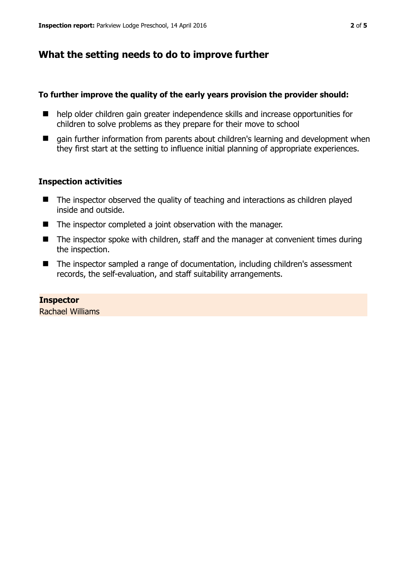# **What the setting needs to do to improve further**

### **To further improve the quality of the early years provision the provider should:**

- help older children gain greater independence skills and increase opportunities for children to solve problems as they prepare for their move to school
- $\Box$  gain further information from parents about children's learning and development when they first start at the setting to influence initial planning of appropriate experiences.

### **Inspection activities**

- The inspector observed the quality of teaching and interactions as children played inside and outside.
- The inspector completed a joint observation with the manager.
- The inspector spoke with children, staff and the manager at convenient times during the inspection.
- The inspector sampled a range of documentation, including children's assessment records, the self-evaluation, and staff suitability arrangements.

# **Inspector**

Rachael Williams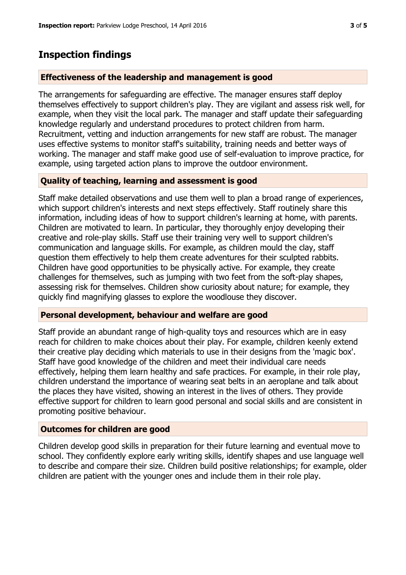### **Inspection findings**

### **Effectiveness of the leadership and management is good**

The arrangements for safeguarding are effective. The manager ensures staff deploy themselves effectively to support children's play. They are vigilant and assess risk well, for example, when they visit the local park. The manager and staff update their safeguarding knowledge regularly and understand procedures to protect children from harm. Recruitment, vetting and induction arrangements for new staff are robust. The manager uses effective systems to monitor staff's suitability, training needs and better ways of working. The manager and staff make good use of self-evaluation to improve practice, for example, using targeted action plans to improve the outdoor environment.

### **Quality of teaching, learning and assessment is good**

Staff make detailed observations and use them well to plan a broad range of experiences, which support children's interests and next steps effectively. Staff routinely share this information, including ideas of how to support children's learning at home, with parents. Children are motivated to learn. In particular, they thoroughly enjoy developing their creative and role-play skills. Staff use their training very well to support children's communication and language skills. For example, as children mould the clay, staff question them effectively to help them create adventures for their sculpted rabbits. Children have good opportunities to be physically active. For example, they create challenges for themselves, such as jumping with two feet from the soft-play shapes, assessing risk for themselves. Children show curiosity about nature; for example, they quickly find magnifying glasses to explore the woodlouse they discover.

#### **Personal development, behaviour and welfare are good**

Staff provide an abundant range of high-quality toys and resources which are in easy reach for children to make choices about their play. For example, children keenly extend their creative play deciding which materials to use in their designs from the 'magic box'. Staff have good knowledge of the children and meet their individual care needs effectively, helping them learn healthy and safe practices. For example, in their role play, children understand the importance of wearing seat belts in an aeroplane and talk about the places they have visited, showing an interest in the lives of others. They provide effective support for children to learn good personal and social skills and are consistent in promoting positive behaviour.

### **Outcomes for children are good**

Children develop good skills in preparation for their future learning and eventual move to school. They confidently explore early writing skills, identify shapes and use language well to describe and compare their size. Children build positive relationships; for example, older children are patient with the younger ones and include them in their role play.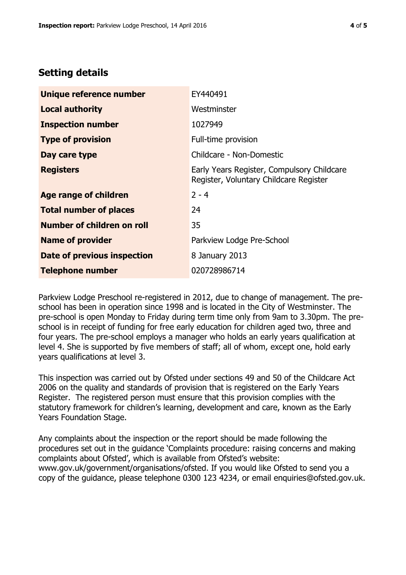# **Setting details**

| Unique reference number       | EY440491                                                                             |
|-------------------------------|--------------------------------------------------------------------------------------|
| <b>Local authority</b>        | Westminster                                                                          |
| <b>Inspection number</b>      | 1027949                                                                              |
| <b>Type of provision</b>      | Full-time provision                                                                  |
| Day care type                 | Childcare - Non-Domestic                                                             |
| <b>Registers</b>              | Early Years Register, Compulsory Childcare<br>Register, Voluntary Childcare Register |
| <b>Age range of children</b>  | $2 - 4$                                                                              |
| <b>Total number of places</b> | 24                                                                                   |
| Number of children on roll    | 35                                                                                   |
| <b>Name of provider</b>       | Parkview Lodge Pre-School                                                            |
| Date of previous inspection   | 8 January 2013                                                                       |
| <b>Telephone number</b>       | 020728986714                                                                         |

Parkview Lodge Preschool re-registered in 2012, due to change of management. The preschool has been in operation since 1998 and is located in the City of Westminster. The pre-school is open Monday to Friday during term time only from 9am to 3.30pm. The preschool is in receipt of funding for free early education for children aged two, three and four years. The pre-school employs a manager who holds an early years qualification at level 4. She is supported by five members of staff; all of whom, except one, hold early years qualifications at level 3.

This inspection was carried out by Ofsted under sections 49 and 50 of the Childcare Act 2006 on the quality and standards of provision that is registered on the Early Years Register. The registered person must ensure that this provision complies with the statutory framework for children's learning, development and care, known as the Early Years Foundation Stage.

Any complaints about the inspection or the report should be made following the procedures set out in the guidance 'Complaints procedure: raising concerns and making complaints about Ofsted', which is available from Ofsted's website: www.gov.uk/government/organisations/ofsted. If you would like Ofsted to send you a copy of the guidance, please telephone 0300 123 4234, or email enquiries@ofsted.gov.uk.